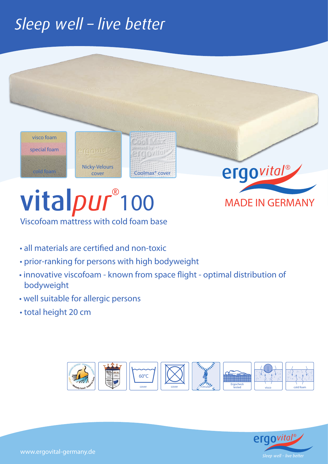# Sleep well - live better



### Viscofoam mattress with cold foam base

- all materials are certified and non-toxic
- prior-ranking for persons with high bodyweight
- innovative viscofoam known from space flight optimal distribution of bodyweight
- well suitable for allergic persons
- total height 20 cm